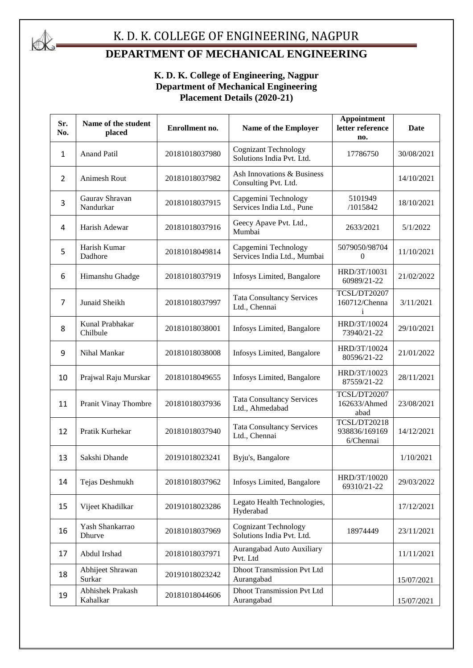

#### K. D. K. COLLEGE OF ENGINEERING, NAGPUR

### **DEPARTMENT OF MECHANICAL ENGINEERING**

#### **K. D. K. College of Engineering, Nagpur Department of Mechanical Engineering Placement Details (2020-21)**

| Sr.<br>No. | Name of the student<br>placed | Enrollment no.                                                        | Name of the Employer                                     | <b>Appointment</b><br>letter reference<br>no. | Date       |
|------------|-------------------------------|-----------------------------------------------------------------------|----------------------------------------------------------|-----------------------------------------------|------------|
| 1          | <b>Anand Patil</b>            | 20181018037980                                                        | <b>Cognizant Technology</b><br>Solutions India Pvt. Ltd. | 17786750                                      | 30/08/2021 |
| 2          | Animesh Rout                  | 20181018037982                                                        | Ash Innovations & Business<br>Consulting Pvt. Ltd.       |                                               | 14/10/2021 |
| 3          | Gauray Shravan<br>Nandurkar   | 20181018037915                                                        | Capgemini Technology<br>Services India Ltd., Pune        | 5101949<br>/1015842                           | 18/10/2021 |
| 4          | Harish Adewar                 | 20181018037916                                                        | Geecy Apave Pvt. Ltd.,<br>Mumbai                         | 2633/2021                                     | 5/1/2022   |
| 5          | Harish Kumar<br>Dadhore       | 20181018049814                                                        | Capgemini Technology<br>Services India Ltd., Mumbai      | 5079050/98704<br>$\mathbf{0}$                 | 11/10/2021 |
| 6          | Himanshu Ghadge               | 20181018037919                                                        | Infosys Limited, Bangalore                               | HRD/3T/10031<br>60989/21-22                   | 21/02/2022 |
| 7          | Junaid Sheikh                 | 20181018037997                                                        | <b>Tata Consultancy Services</b><br>Ltd., Chennai        | <b>TCSL/DT20207</b><br>160712/Chenna<br>i     | 3/11/2021  |
| 8          | Kunal Prabhakar<br>Chilbule   | 20181018038001                                                        | Infosys Limited, Bangalore                               | HRD/3T/10024<br>73940/21-22                   | 29/10/2021 |
| 9          | Nihal Mankar                  | 20181018038008                                                        | Infosys Limited, Bangalore                               | HRD/3T/10024<br>80596/21-22                   | 21/01/2022 |
| 10         | Prajwal Raju Murskar          | 20181018049655                                                        | Infosys Limited, Bangalore                               | HRD/3T/10023<br>87559/21-22                   | 28/11/2021 |
| 11         | Pranit Vinay Thombre          | <b>Tata Consultancy Services</b><br>20181018037936<br>Ltd., Ahmedabad |                                                          | TCSL/DT20207<br>162633/Ahmed<br>abad          | 23/08/2021 |
| 12         | Pratik Kurhekar               | 20181018037940                                                        | <b>Tata Consultancy Services</b><br>Ltd., Chennai        | TCSL/DT20218<br>938836/169169<br>6/Chennai    | 14/12/2021 |
| 13         | Sakshi Dhande                 | 20191018023241                                                        | Byju's, Bangalore                                        |                                               | 1/10/2021  |
| 14         | Tejas Deshmukh                | 20181018037962                                                        | Infosys Limited, Bangalore                               | HRD/3T/10020<br>69310/21-22                   | 29/03/2022 |
| 15         | Vijeet Khadilkar              | 20191018023286                                                        | Legato Health Technologies,<br>Hyderabad                 |                                               | 17/12/2021 |
| 16         | Yash Shankarrao<br>Dhurve     | 20181018037969                                                        | <b>Cognizant Technology</b><br>Solutions India Pvt. Ltd. | 18974449                                      | 23/11/2021 |
| 17         | Abdul Irshad                  | 20181018037971                                                        | Aurangabad Auto Auxiliary<br>Pvt. Ltd                    |                                               | 11/11/2021 |
| 18         | Abhijeet Shrawan<br>Surkar    | 20191018023242                                                        | <b>Dhoot Transmission Pvt Ltd</b><br>Aurangabad          |                                               | 15/07/2021 |
| 19         | Abhishek Prakash<br>Kahalkar  | 20181018044606                                                        | <b>Dhoot Transmission Pvt Ltd</b><br>Aurangabad          |                                               | 15/07/2021 |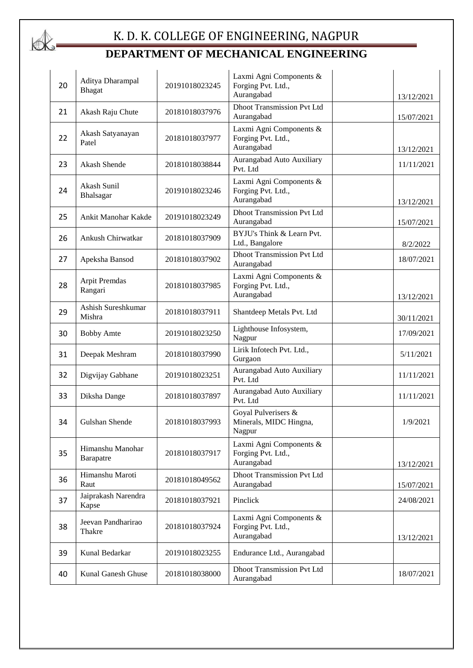

| 20 | Aditya Dharampal<br><b>Bhagat</b> | 20191018023245 | Laxmi Agni Components &<br>Forging Pvt. Ltd.,<br>Aurangabad | 13/12/2021 |
|----|-----------------------------------|----------------|-------------------------------------------------------------|------------|
| 21 | Akash Raju Chute                  | 20181018037976 | <b>Dhoot Transmission Pvt Ltd</b><br>Aurangabad             | 15/07/2021 |
| 22 | Akash Satyanayan<br>Patel         | 20181018037977 | Laxmi Agni Components &<br>Forging Pvt. Ltd.,<br>Aurangabad | 13/12/2021 |
| 23 | Akash Shende                      | 20181018038844 | Aurangabad Auto Auxiliary<br>Pvt. Ltd                       | 11/11/2021 |
| 24 | Akash Sunil<br>Bhalsagar          | 20191018023246 | Laxmi Agni Components &<br>Forging Pvt. Ltd.,<br>Aurangabad | 13/12/2021 |
| 25 | Ankit Manohar Kakde               | 20191018023249 | <b>Dhoot Transmission Pvt Ltd</b><br>Aurangabad             | 15/07/2021 |
| 26 | Ankush Chirwatkar                 | 20181018037909 | BYJU's Think & Learn Pvt.<br>Ltd., Bangalore                | 8/2/2022   |
| 27 | Apeksha Bansod                    | 20181018037902 | <b>Dhoot Transmission Pvt Ltd</b><br>Aurangabad             | 18/07/2021 |
| 28 | Arpit Premdas<br>Rangari          | 20181018037985 | Laxmi Agni Components &<br>Forging Pvt. Ltd.,<br>Aurangabad | 13/12/2021 |
| 29 | Ashish Sureshkumar<br>Mishra      | 20181018037911 | Shantdeep Metals Pvt. Ltd                                   | 30/11/2021 |
| 30 | <b>Bobby Amte</b>                 | 20191018023250 | Lighthouse Infosystem,<br>Nagpur                            | 17/09/2021 |
| 31 | Deepak Meshram                    | 20181018037990 | Lirik Infotech Pvt. Ltd.,<br>Gurgaon                        | 5/11/2021  |
| 32 | Digvijay Gabhane                  | 20191018023251 | Aurangabad Auto Auxiliary<br>Pvt. Ltd                       | 11/11/2021 |
| 33 | Diksha Dange                      | 20181018037897 | Aurangabad Auto Auxiliary<br>Pvt. Ltd                       | 11/11/2021 |
| 34 | Gulshan Shende                    | 20181018037993 | Goyal Pulverisers &<br>Minerals, MIDC Hingna,<br>Nagpur     | 1/9/2021   |
| 35 | Himanshu Manohar<br>Barapatre     | 20181018037917 | Laxmi Agni Components &<br>Forging Pvt. Ltd.,<br>Aurangabad | 13/12/2021 |
| 36 | Himanshu Maroti<br>Raut           | 20181018049562 | <b>Dhoot Transmission Pvt Ltd</b><br>Aurangabad             | 15/07/2021 |
| 37 | Jaiprakash Narendra<br>Kapse      | 20181018037921 | Pinclick                                                    | 24/08/2021 |
| 38 | Jeevan Pandharirao<br>Thakre      | 20181018037924 | Laxmi Agni Components &<br>Forging Pvt. Ltd.,<br>Aurangabad | 13/12/2021 |
| 39 | Kunal Bedarkar                    | 20191018023255 | Endurance Ltd., Aurangabad                                  |            |
| 40 | Kunal Ganesh Ghuse                | 20181018038000 | <b>Dhoot Transmission Pvt Ltd</b><br>Aurangabad             | 18/07/2021 |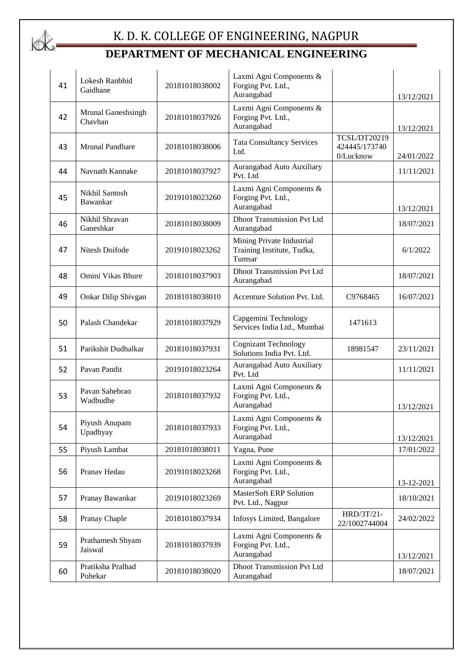

| 41 | Lokesh Ranbhid<br>Gaidhane    | 20181018038002 | Laxmi Agni Components &<br>Forging Pvt. Ltd.,<br>Aurangabad       |                                            | 13/12/2021 |
|----|-------------------------------|----------------|-------------------------------------------------------------------|--------------------------------------------|------------|
| 42 | Mrunal Ganeshsingh<br>Chavhan | 20181018037926 | Laxmi Agni Components &<br>Forging Pvt. Ltd.,<br>Aurangabad       |                                            | 13/12/2021 |
| 43 | Mrunal Pandhare               | 20181018038006 | <b>Tata Consultancy Services</b><br>Ltd.                          | TCSL/DT20219<br>424445/173740<br>0/Lucknow | 24/01/2022 |
| 44 | Navnath Kannake               | 20181018037927 | Aurangabad Auto Auxiliary<br>Pvt. Ltd                             |                                            | 11/11/2021 |
| 45 | Nikhil Santosh<br>Bawankar    | 20191018023260 | Laxmi Agni Components &<br>Forging Pvt. Ltd.,<br>Aurangabad       |                                            | 13/12/2021 |
| 46 | Nikhil Shravan<br>Ganeshkar   | 20181018038009 | <b>Dhoot Transmission Pvt Ltd</b><br>Aurangabad                   |                                            | 18/07/2021 |
| 47 | Nitesh Doifode                | 20191018023262 | Mining Private Industrial<br>Training Institute, Tudka,<br>Tumsar |                                            | 6/1/2022   |
| 48 | Omini Vikas Bhure             | 20181018037903 | <b>Dhoot Transmission Pvt Ltd</b><br>Aurangabad                   |                                            | 18/07/2021 |
| 49 | Onkar Dilip Shivgan           | 20181018038010 | Accenture Solution Pvt. Ltd.                                      | C9768465                                   | 16/07/2021 |
| 50 | Palash Chandekar              | 20181018037929 | Capgemini Technology<br>Services India Ltd., Mumbai               | 1471613                                    |            |
| 51 | Parikshit Dudhalkar           | 20181018037931 | <b>Cognizant Technology</b><br>Solutions India Pvt. Ltd.          | 18981547                                   | 23/11/2021 |
| 52 | Pavan Pandit                  | 20191018023264 | Aurangabad Auto Auxiliary<br>Pvt. Ltd                             |                                            | 11/11/2021 |
| 53 | Pavan Sahebrao<br>Wadbudhe    | 20181018037932 | Laxmi Agni Components &<br>Forging Pvt. Ltd.,<br>Aurangabad       |                                            | 13/12/2021 |
| 54 | Piyush Anupam<br>Upadhyay     | 20181018037933 | Laxmi Agni Components &<br>Forging Pvt. Ltd.,<br>Aurangabad       |                                            | 13/12/2021 |
| 55 | Piyush Lambat                 | 20181018038011 | Yagna, Pune                                                       |                                            | 17/01/2022 |
| 56 | Pranav Hedau                  | 20191018023268 | Laxmi Agni Components &<br>Forging Pvt. Ltd.,<br>Aurangabad       |                                            | 13-12-2021 |
| 57 | Pranay Bawankar               | 20191018023269 | MasterSoft ERP Solution<br>Pvt. Ltd., Nagpur                      |                                            | 18/10/2021 |
| 58 | Pranay Chaple                 | 20181018037934 | Infosys Limited, Bangalore                                        | HRD/3T/21-<br>22/1002744004                | 24/02/2022 |
| 59 | Prathamesh Shyam<br>Jaiswal   | 20181018037939 | Laxmi Agni Components &<br>Forging Pvt. Ltd.,<br>Aurangabad       |                                            | 13/12/2021 |
| 60 | Pratiksha Pralhad<br>Pohekar  | 20181018038020 | <b>Dhoot Transmission Pvt Ltd</b><br>Aurangabad                   |                                            | 18/07/2021 |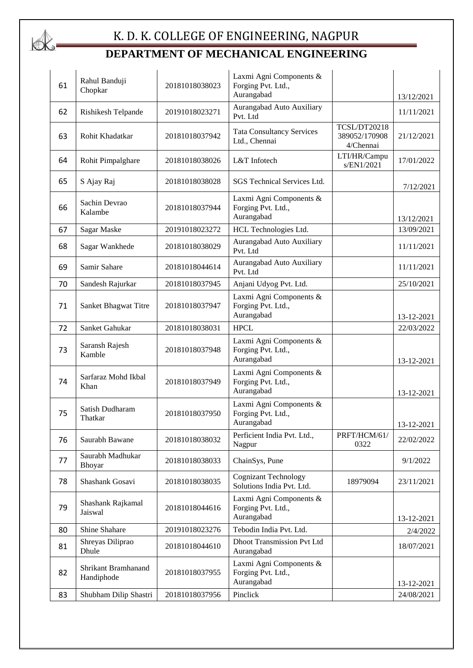

| 61 | Rahul Banduji<br>Chopkar          | 20181018038023 | Laxmi Agni Components &<br>Forging Pvt. Ltd.,<br>Aurangabad |                                            | 13/12/2021 |
|----|-----------------------------------|----------------|-------------------------------------------------------------|--------------------------------------------|------------|
| 62 | Rishikesh Telpande                | 20191018023271 | Aurangabad Auto Auxiliary<br>Pvt. Ltd                       |                                            | 11/11/2021 |
| 63 | Rohit Khadatkar                   | 20181018037942 | <b>Tata Consultancy Services</b><br>Ltd., Chennai           | TCSL/DT20218<br>389052/170908<br>4/Chennai | 21/12/2021 |
| 64 | Rohit Pimpalghare                 | 20181018038026 | L&T Infotech                                                | LTI/HR/Campu<br>s/EN1/2021                 | 17/01/2022 |
| 65 | S Ajay Raj                        | 20181018038028 | SGS Technical Services Ltd.                                 |                                            | 7/12/2021  |
| 66 | Sachin Devrao<br>Kalambe          | 20181018037944 | Laxmi Agni Components &<br>Forging Pvt. Ltd.,<br>Aurangabad |                                            | 13/12/2021 |
| 67 | Sagar Maske                       | 20191018023272 | HCL Technologies Ltd.                                       |                                            | 13/09/2021 |
| 68 | Sagar Wankhede                    | 20181018038029 | Aurangabad Auto Auxiliary<br>Pvt. Ltd                       |                                            | 11/11/2021 |
| 69 | Samir Sahare                      | 20181018044614 | Aurangabad Auto Auxiliary<br>Pvt. Ltd                       |                                            | 11/11/2021 |
| 70 | Sandesh Rajurkar                  | 20181018037945 | Anjani Udyog Pvt. Ltd.                                      |                                            | 25/10/2021 |
| 71 | Sanket Bhagwat Titre              | 20181018037947 | Laxmi Agni Components &<br>Forging Pvt. Ltd.,<br>Aurangabad |                                            | 13-12-2021 |
| 72 | Sanket Gahukar                    | 20181018038031 | <b>HPCL</b>                                                 |                                            | 22/03/2022 |
| 73 | Saransh Rajesh<br>Kamble          | 20181018037948 | Laxmi Agni Components &<br>Forging Pvt. Ltd.,<br>Aurangabad |                                            | 13-12-2021 |
| 74 | Sarfaraz Mohd Ikbal<br>Khan       | 20181018037949 | Laxmi Agni Components &<br>Forging Pvt. Ltd.,<br>Aurangabad |                                            | 13-12-2021 |
| 75 | Satish Dudharam<br>Thatkar        | 20181018037950 | Laxmi Agni Components &<br>Forging Pvt. Ltd.,<br>Aurangabad |                                            | 13-12-2021 |
| 76 | Saurabh Bawane                    | 20181018038032 | Perficient India Pvt. Ltd.,<br>Nagpur                       | PRFT/HCM/61/<br>0322                       | 22/02/2022 |
| 77 | Saurabh Madhukar<br>Bhoyar        | 20181018038033 | ChainSys, Pune                                              |                                            | 9/1/2022   |
| 78 | Shashank Gosavi                   | 20181018038035 | <b>Cognizant Technology</b><br>Solutions India Pvt. Ltd.    | 18979094                                   | 23/11/2021 |
| 79 | Shashank Rajkamal<br>Jaiswal      | 20181018044616 | Laxmi Agni Components &<br>Forging Pvt. Ltd.,<br>Aurangabad |                                            | 13-12-2021 |
| 80 | Shine Shahare                     | 20191018023276 | Tebodin India Pvt. Ltd.                                     |                                            | 2/4/2022   |
| 81 | Shreyas Diliprao<br>Dhule         | 20181018044610 | <b>Dhoot Transmission Pvt Ltd</b><br>Aurangabad             |                                            | 18/07/2021 |
| 82 | Shrikant Bramhanand<br>Handiphode | 20181018037955 | Laxmi Agni Components &<br>Forging Pvt. Ltd.,<br>Aurangabad |                                            | 13-12-2021 |
| 83 | Shubham Dilip Shastri             | 20181018037956 | Pinclick                                                    |                                            | 24/08/2021 |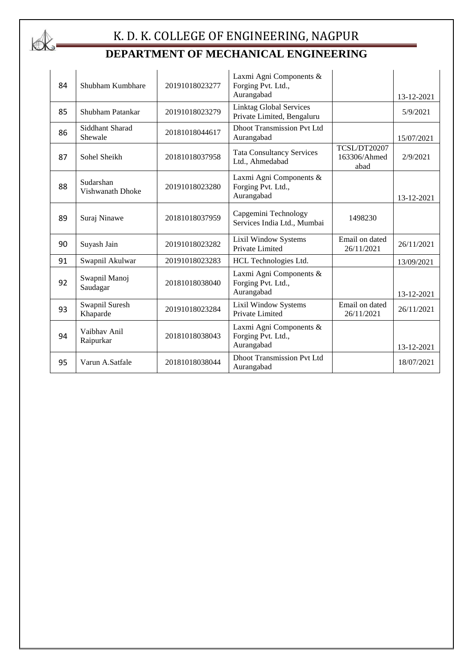

| 84 | Shubham Kumbhare              | 20191018023277 | Laxmi Agni Components &<br>Forging Pvt. Ltd.,<br>Aurangabad  |                                      | 13-12-2021 |
|----|-------------------------------|----------------|--------------------------------------------------------------|--------------------------------------|------------|
| 85 | Shubham Patankar              | 20191018023279 | <b>Linktag Global Services</b><br>Private Limited, Bengaluru |                                      | 5/9/2021   |
| 86 | Siddhant Sharad<br>Shewale    | 20181018044617 | <b>Dhoot Transmission Pvt Ltd</b><br>Aurangabad              |                                      | 15/07/2021 |
| 87 | Sohel Sheikh                  | 20181018037958 | <b>Tata Consultancy Services</b><br>Ltd., Ahmedabad          | TCSL/DT20207<br>163306/Ahmed<br>abad | 2/9/2021   |
| 88 | Sudarshan<br>Vishwanath Dhoke | 20191018023280 | Laxmi Agni Components &<br>Forging Pvt. Ltd.,<br>Aurangabad  |                                      | 13-12-2021 |
| 89 | Suraj Ninawe                  | 20181018037959 | Capgemini Technology<br>Services India Ltd., Mumbai          | 1498230                              |            |
| 90 | Suyash Jain                   | 20191018023282 | Lixil Window Systems<br>Private Limited                      | Email on dated<br>26/11/2021         | 26/11/2021 |
| 91 | Swapnil Akulwar               | 20191018023283 | HCL Technologies Ltd.                                        |                                      | 13/09/2021 |
| 92 | Swapnil Manoj<br>Saudagar     | 20181018038040 | Laxmi Agni Components &<br>Forging Pvt. Ltd.,<br>Aurangabad  |                                      | 13-12-2021 |
| 93 | Swapnil Suresh<br>Khaparde    | 20191018023284 | Lixil Window Systems<br>Private Limited                      | Email on dated<br>26/11/2021         | 26/11/2021 |
| 94 | Vaibhay Anil<br>Raipurkar     | 20181018038043 | Laxmi Agni Components &<br>Forging Pvt. Ltd.,<br>Aurangabad  |                                      | 13-12-2021 |
| 95 | Varun A.Satfale               | 20181018038044 | <b>Dhoot Transmission Pvt Ltd</b><br>Aurangabad              |                                      | 18/07/2021 |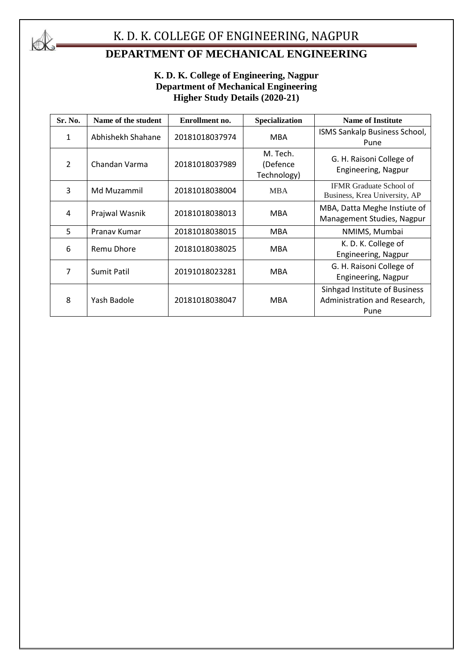

# K. D. K. COLLEGE OF ENGINEERING, NAGPUR

# **DEPARTMENT OF MECHANICAL ENGINEERING**

#### **K. D. K. College of Engineering, Nagpur Department of Mechanical Engineering Higher Study Details (2020-21)**

| Sr. No.        | Name of the student | Enrollment no. | <b>Specialization</b>                                         | <b>Name of Institute</b>                                              |  |
|----------------|---------------------|----------------|---------------------------------------------------------------|-----------------------------------------------------------------------|--|
| 1              | Abhishekh Shahane   | 20181018037974 | <b>MBA</b>                                                    | ISMS Sankalp Business School,<br>Pune                                 |  |
| $\overline{2}$ | Chandan Varma       | 20181018037989 | M. Tech.<br>(Defence<br>Technology)                           | G. H. Raisoni College of<br>Engineering, Nagpur                       |  |
| 3              | Md Muzammil         | 20181018038004 | <b>MBA</b>                                                    | <b>IFMR</b> Graduate School of<br>Business, Krea University, AP       |  |
| 4              | Prajwal Wasnik      | 20181018038013 | <b>MBA</b>                                                    | MBA, Datta Meghe Instiute of<br>Management Studies, Nagpur            |  |
| 5              | Pranav Kumar        | 20181018038015 | <b>MBA</b>                                                    | NMIMS, Mumbai                                                         |  |
| 6              | <b>Remu Dhore</b>   | 20181018038025 | <b>MBA</b>                                                    | K. D. K. College of<br>Engineering, Nagpur                            |  |
| 7              | <b>Sumit Patil</b>  | 20191018023281 | G. H. Raisoni College of<br><b>MBA</b><br>Engineering, Nagpur |                                                                       |  |
| 8              | Yash Badole         | 20181018038047 | <b>MBA</b>                                                    | Sinhgad Institute of Business<br>Administration and Research,<br>Pune |  |